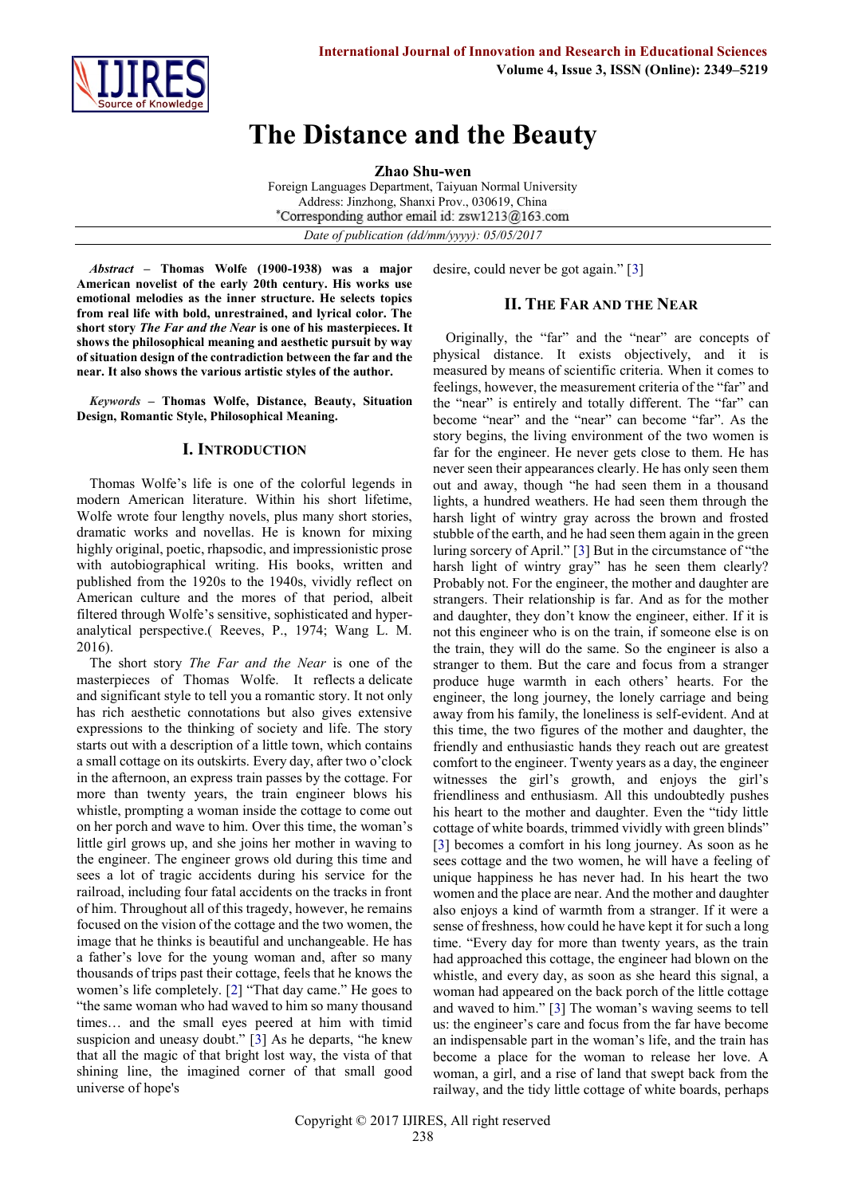

# **The Distance and the Beauty**

**Zhao Shu-wen**

Foreign Languages Department, Taiyuan Normal University Address: Jinzhong, Shanxi Prov., 030619, China \*Corresponding author email id: zsw1213@163.com *Date of publication (dd/mm/yyyy): 05/05/2017*

*Abstract* **– Thomas Wolfe (1900-1938) was a major American novelist of the early 20th century. His works use emotional melodies as the inner structure. He selects topics from real life with bold, unrestrained, and lyrical color. The short story** *The Far and the Near* **is one of his masterpieces. It shows the philosophical meaning and aesthetic pursuit by way of situation design of the contradiction between the far and the near. It also shows the various artistic styles of the author.**

*Keywords* **– Thomas Wolfe, Distance, Beauty, Situation Design, Romantic Style, Philosophical Meaning.**

### **I. INTRODUCTION**

Thomas Wolfe's life is one of the colorful legends in modern American literature. Within his short lifetime, Wolfe wrote four lengthy novels, plus many short stories, dramatic works and novellas. He is known for mixing highly original, poetic, rhapsodic, and impressionistic prose with autobiographical writing. His books, written and published from the 1920s to the 1940s, vividly reflect on American culture and the mores of that period, albeit filtered through Wolfe's sensitive, sophisticated and hyperanalytical perspective.( Reeves, P., 1974; Wang L. M. 2016).

The short story *The Far and the Near* is one of the masterpieces of Thomas Wolfe. It reflects a delicate and significant style to tell you a romantic story. It not only has rich aesthetic connotations but also gives extensive expressions to the thinking of society and life. The story starts out with a description of a little town, which contains a small cottage on its outskirts. Every day, after two o'clock in the afternoon, an express train passes by the cottage. For more than twenty years, the train engineer blows his whistle, prompting a woman inside the cottage to come out on her porch and wave to him. Over this time, the woman's little girl grows up, and she joins her mother in waving to the engineer. The engineer grows old during this time and sees a lot of tragic accidents during his service for the railroad, including four fatal accidents on the tracks in front of him. Throughout all of this tragedy, however, he remains focused on the vision of the cottage and the two women, the image that he thinks is beautiful and unchangeable. He has a father's love for the young woman and, after so many thousands of trips past their cottage, feels that he knows the women's life completely. [[2](http://article.sciencepublishinggroup.com/html/10.11648.j.ijla.20160403.12.html#reference_1)] "That day came." He goes to "the same woman who had waved to him so many thousand times… and the small eyes peered at him with timid suspicion and uneasy doubt." [[3](http://article.sciencepublishinggroup.com/html/10.11648.j.ijla.20160403.12.html#reference_1)] As he departs, "he knew that all the magic of that bright lost way, the vista of that shining line, the imagined corner of that small good universe of hope's

desire, could never be got again." [[3\]](http://article.sciencepublishinggroup.com/html/10.11648.j.ijla.20160403.12.html#reference_1)

# **II. THE FAR AND THE NEAR**

Originally, the "far" and the "near" are concepts of physical distance. It exists objectively, and it is measured by means of scientific criteria. When it comes to feelings, however, the measurement criteria of the "far" and the "near" is entirely and totally different. The "far" can become "near" and the "near" can become "far". As the story begins, the living environment of the two women is far for the engineer. He never gets close to them. He has never seen their appearances clearly. He has only seen them out and away, though "he had seen them in a thousand lights, a hundred weathers. He had seen them through the harsh light of wintry gray across the brown and frosted stubble of the earth, and he had seen them again in the green luring sorcery of April." [[3](http://article.sciencepublishinggroup.com/html/10.11648.j.ijla.20160403.12.html#reference_1)] But in the circumstance of "the harsh light of wintry gray" has he seen them clearly? Probably not. For the engineer, the mother and daughter are strangers. Their relationship is far. And as for the mother and daughter, they don't know the engineer, either. If it is not this engineer who is on the train, if someone else is on the train, they will do the same. So the engineer is also a stranger to them. But the care and focus from a stranger produce huge warmth in each others' hearts. For the engineer, the long journey, the lonely carriage and being away from his family, the loneliness is self-evident. And at this time, the two figures of the mother and daughter, the friendly and enthusiastic hands they reach out are greatest comfort to the engineer. Twenty years as a day, the engineer witnesses the girl's growth, and enjoys the girl's friendliness and enthusiasm. All this undoubtedly pushes his heart to the mother and daughter. Even the "tidy little cottage of white boards, trimmed vividly with green blinds" [\[3\]](http://article.sciencepublishinggroup.com/html/10.11648.j.ijla.20160403.12.html#reference_1) becomes a comfort in his long journey. As soon as he sees cottage and the two women, he will have a feeling of unique happiness he has never had. In his heart the two women and the place are near. And the mother and daughter also enjoys a kind of warmth from a stranger. If it were a sense of freshness, how could he have kept it for such a long time. "Every day for more than twenty years, as the train had approached this cottage, the engineer had blown on the whistle, and every day, as soon as she heard this signal, a woman had appeared on the back porch of the little cottage and waved to him." [[3](http://article.sciencepublishinggroup.com/html/10.11648.j.ijla.20160403.12.html#reference_1)] The woman's waving seems to tell us: the engineer's care and focus from the far have become an indispensable part in the woman's life, and the train has become a place for the woman to release her love. A woman, a girl, and a rise of land that swept back from the railway, and the tidy little cottage of white boards, perhaps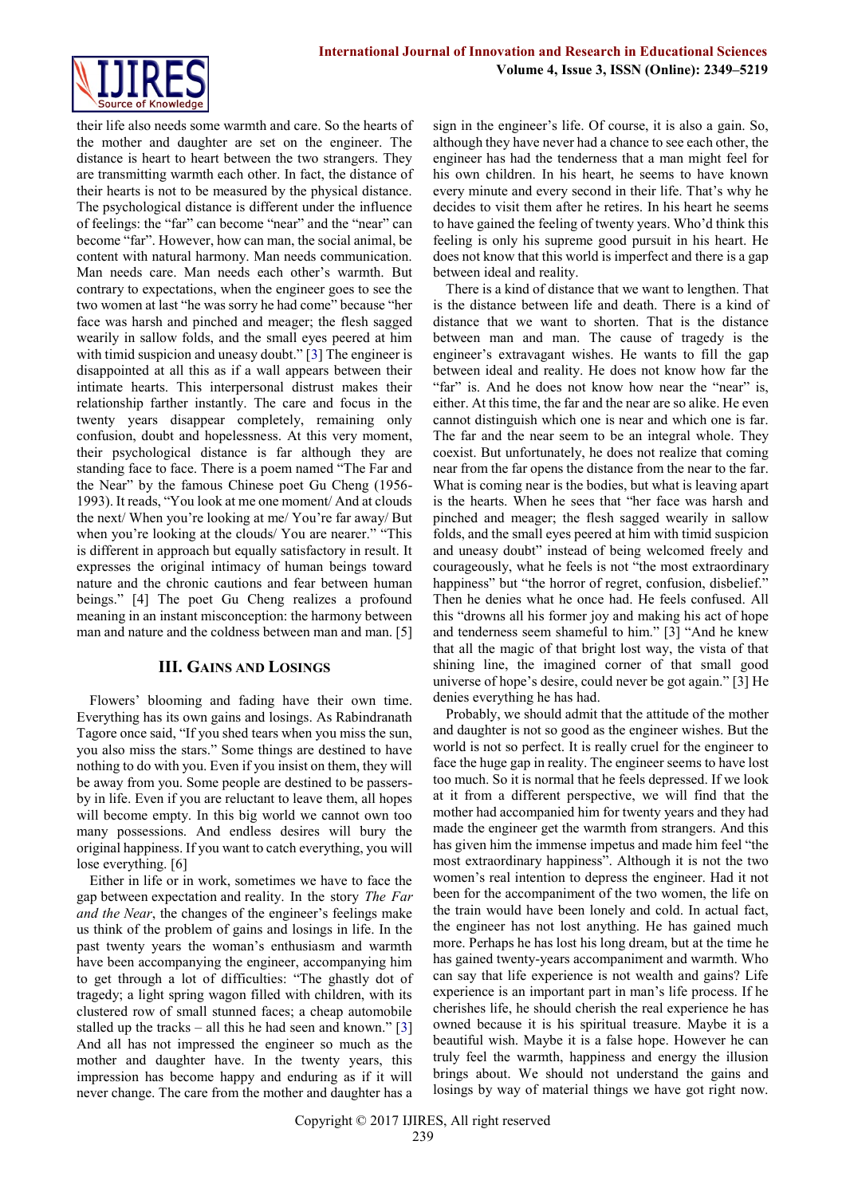

their life also needs some warmth and care. So the hearts of the mother and daughter are set on the engineer. The distance is heart to heart between the two strangers. They are transmitting warmth each other. In fact, the distance of their hearts is not to be measured by the physical distance. The psychological distance is different under the influence of feelings: the "far" can become "near" and the "near" can become "far". However, how can man, the social animal, be content with natural harmony. Man needs communication. Man needs care. Man needs each other's warmth. But contrary to expectations, when the engineer goes to see the two women at last "he was sorry he had come" because "her face was harsh and pinched and meager; the flesh sagged wearily in sallow folds, and the small eyes peered at him with timid suspicion and uneasy doubt." [[3\]](http://article.sciencepublishinggroup.com/html/10.11648.j.ijla.20160403.12.html#reference_1) The engineer is disappointed at all this as if a wall appears between their intimate hearts. This interpersonal distrust makes their relationship farther instantly. The care and focus in the twenty years disappear completely, remaining only confusion, doubt and hopelessness. At this very moment, their psychological distance is far although they are standing face to face. There is a poem named "The Far and the Near" by the famous Chinese poet Gu Cheng (1956- 1993). It reads, "You look at me one moment/ And at clouds the next/ When you're looking at me/ You're far away/ But when you're looking at the clouds/ You are nearer." "This is different in approach but equally satisfactory in result. It expresses the original intimacy of human beings toward nature and the chronic cautions and fear between human beings." [4] The poet Gu Cheng realizes a profound meaning in an instant misconception: the harmony between man and nature and the coldness between man and man. [5]

## **III. GAINS AND LOSINGS**

Flowers' blooming and fading have their own time. Everything has its own gains and losings. As Rabindranath Tagore once said, "If you shed tears when you miss the sun, you also miss the stars." Some things are destined to have nothing to do with you. Even if you insist on them, they will be away from you. Some people are destined to be passersby in life. Even if you are reluctant to leave them, all hopes will become empty. In this big world we cannot own too many possessions. And endless desires will bury the original happiness. If you want to catch everything, you will lose everything. [6]

Either in life or in work, sometimes we have to face the gap between expectation and reality. In the story *The Far and the Near*, the changes of the engineer's feelings make us think of the problem of gains and losings in life. In the past twenty years the woman's enthusiasm and warmth have been accompanying the engineer, accompanying him to get through a lot of difficulties: "The ghastly dot of tragedy; a light spring wagon filled with children, with its clustered row of small stunned faces; a cheap automobile stalled up the tracks – all this he had seen and known." [[3\]](http://article.sciencepublishinggroup.com/html/10.11648.j.ijla.20160403.12.html#reference_1) And all has not impressed the engineer so much as the mother and daughter have. In the twenty years, this impression has become happy and enduring as if it will never change. The care from the mother and daughter has a

sign in the engineer's life. Of course, it is also a gain. So, although they have never had a chance to see each other, the engineer has had the tenderness that a man might feel for his own children. In his heart, he seems to have known every minute and every second in their life. That's why he decides to visit them after he retires. In his heart he seems to have gained the feeling of twenty years. Who'd think this feeling is only his supreme good pursuit in his heart. He does not know that this world is imperfect and there is a gap between ideal and reality.

There is a kind of distance that we want to lengthen. That is the distance between life and death. There is a kind of distance that we want to shorten. That is the distance between man and man. The cause of tragedy is the engineer's extravagant wishes. He wants to fill the gap between ideal and reality. He does not know how far the "far" is. And he does not know how near the "near" is, either. At this time, the far and the near are so alike. He even cannot distinguish which one is near and which one is far. The far and the near seem to be an integral whole. They coexist. But unfortunately, he does not realize that coming near from the far opens the distance from the near to the far. What is coming near is the bodies, but what is leaving apart is the hearts. When he sees that "her face was harsh and pinched and meager; the flesh sagged wearily in sallow folds, and the small eyes peered at him with timid suspicion and uneasy doubt" instead of being welcomed freely and courageously, what he feels is not "the most extraordinary happiness" but "the horror of regret, confusion, disbelief." Then he denies what he once had. He feels confused. All this "drowns all his former joy and making his act of hope and tenderness seem shameful to him." [3] "And he knew that all the magic of that bright lost way, the vista of that shining line, the imagined corner of that small good universe of hope's desire, could never be got again." [3] He denies everything he has had.

Probably, we should admit that the attitude of the mother and daughter is not so good as the engineer wishes. But the world is not so perfect. It is really cruel for the engineer to face the huge gap in reality. The engineer seems to have lost too much. So it is normal that he feels depressed. If we look at it from a different perspective, we will find that the mother had accompanied him for twenty years and they had made the engineer get the warmth from strangers. And this has given him the immense impetus and made him feel "the most extraordinary happiness". Although it is not the two women's real intention to depress the engineer. Had it not been for the accompaniment of the two women, the life on the train would have been lonely and cold. In actual fact, the engineer has not lost anything. He has gained much more. Perhaps he has lost his long dream, but at the time he has gained twenty-years accompaniment and warmth. Who can say that life experience is not wealth and gains? Life experience is an important part in man's life process. If he cherishes life, he should cherish the real experience he has owned because it is his spiritual treasure. Maybe it is a beautiful wish. Maybe it is a false hope. However he can truly feel the warmth, happiness and energy the illusion brings about. We should not understand the gains and losings by way of material things we have got right now.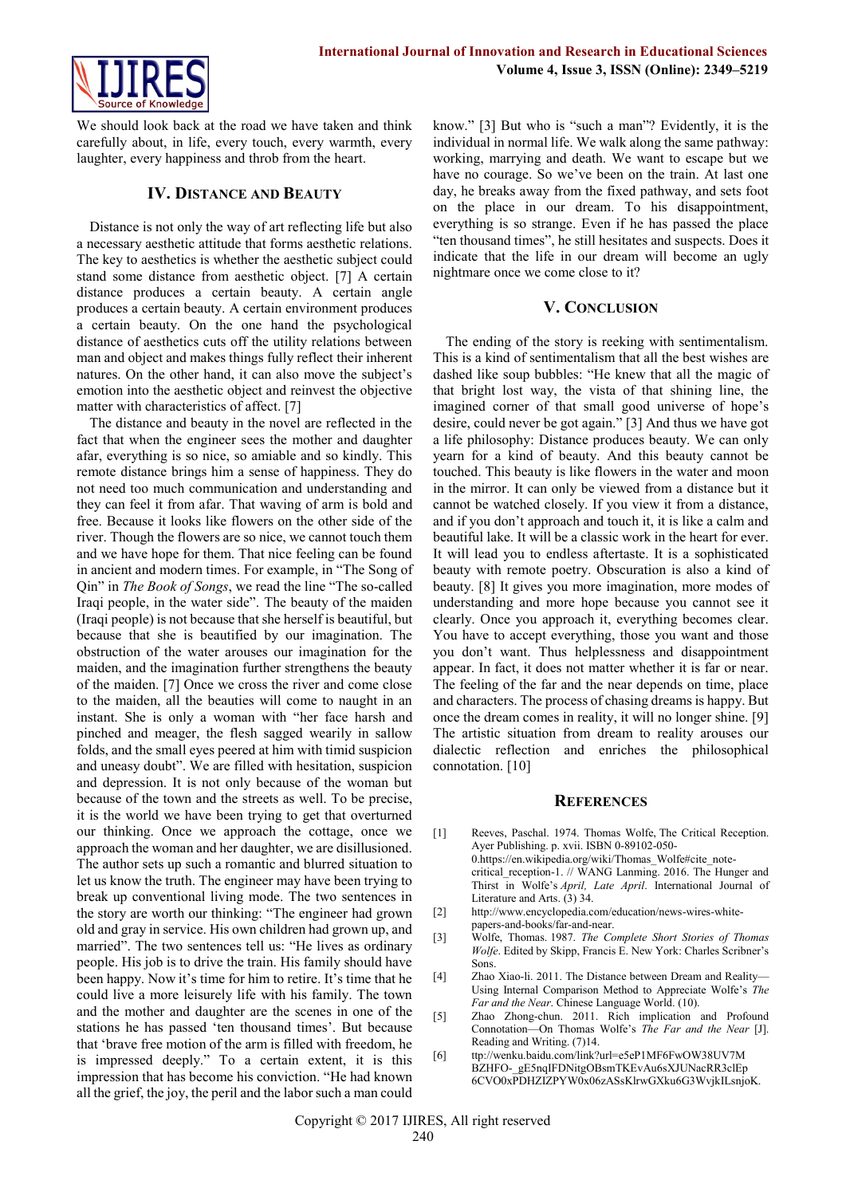

We should look back at the road we have taken and think carefully about, in life, every touch, every warmth, every laughter, every happiness and throb from the heart.

#### **IV. DISTANCE AND BEAUTY**

Distance is not only the way of art reflecting life but also a necessary aesthetic attitude that forms aesthetic relations. The key to aesthetics is whether the aesthetic subject could stand some distance from aesthetic object. [7] A certain distance produces a certain beauty. A certain angle produces a certain beauty. A certain environment produces a certain beauty. On the one hand the psychological distance of aesthetics cuts off the utility relations between man and object and makes things fully reflect their inherent natures. On the other hand, it can also move the subject's emotion into the aesthetic object and reinvest the objective matter with characteristics of affect. [7]

The distance and beauty in the novel are reflected in the fact that when the engineer sees the mother and daughter afar, everything is so nice, so amiable and so kindly. This remote distance brings him a sense of happiness. They do not need too much communication and understanding and they can feel it from afar. That waving of arm is bold and free. Because it looks like flowers on the other side of the river. Though the flowers are so nice, we cannot touch them and we have hope for them. That nice feeling can be found in ancient and modern times. For example, in "The Song of Qin" in *The Book of Songs*, we read the line "The so-called Iraqi people, in the water side". The beauty of the maiden (Iraqi people) is not because that she herself is beautiful, but because that she is beautified by our imagination. The obstruction of the water arouses our imagination for the maiden, and the imagination further strengthens the beauty of the maiden. [7] Once we cross the river and come close to the maiden, all the beauties will come to naught in an instant. She is only a woman with "her face harsh and pinched and meager, the flesh sagged wearily in sallow folds, and the small eyes peered at him with timid suspicion and uneasy doubt". We are filled with hesitation, suspicion and depression. It is not only because of the woman but because of the town and the streets as well. To be precise, it is the world we have been trying to get that overturned our thinking. Once we approach the cottage, once we approach the woman and her daughter, we are disillusioned. The author sets up such a romantic and blurred situation to let us know the truth. The engineer may have been trying to break up conventional living mode. The two sentences in the story are worth our thinking: "The engineer had grown old and gray in service. His own children had grown up, and married". The two sentences tell us: "He lives as ordinary people. His job is to drive the train. His family should have been happy. Now it's time for him to retire. It's time that he could live a more leisurely life with his family. The town and the mother and daughter are the scenes in one of the stations he has passed 'ten thousand times'. But because that 'brave free motion of the arm is filled with freedom, he is impressed deeply." To a certain extent, it is this impression that has become his conviction. "He had known all the grief, the joy, the peril and the labor such a man could

know." [3] But who is "such a man"? Evidently, it is the individual in normal life. We walk along the same pathway: working, marrying and death. We want to escape but we have no courage. So we've been on the train. At last one day, he breaks away from the fixed pathway, and sets foot on the place in our dream. To his disappointment, everything is so strange. Even if he has passed the place "ten thousand times", he still hesitates and suspects. Does it indicate that the life in our dream will become an ugly nightmare once we come close to it?

#### **V. CONCLUSION**

The ending of the story is reeking with sentimentalism. This is a kind of sentimentalism that all the best wishes are dashed like soup bubbles: "He knew that all the magic of that bright lost way, the vista of that shining line, the imagined corner of that small good universe of hope's desire, could never be got again." [3] And thus we have got a life philosophy: Distance produces beauty. We can only yearn for a kind of beauty. And this beauty cannot be touched. This beauty is like flowers in the water and moon in the mirror. It can only be viewed from a distance but it cannot be watched closely. If you view it from a distance, and if you don't approach and touch it, it is like a calm and beautiful lake. It will be a classic work in the heart for ever. It will lead you to endless aftertaste. It is a sophisticated beauty with remote poetry. Obscuration is also a kind of beauty. [8] It gives you more imagination, more modes of understanding and more hope because you cannot see it clearly. Once you approach it, everything becomes clear. You have to accept everything, those you want and those you don't want. Thus helplessness and disappointment appear. In fact, it does not matter whether it is far or near. The feeling of the far and the near depends on time, place and characters. The process of chasing dreams is happy. But once the dream comes in reality, it will no longer shine. [9] The artistic situation from dream to reality arouses our dialectic reflection and enriches the philosophical connotation. [10]

#### **REFERENCES**

- [1] Reeves, Paschal. 1974. Thomas Wolfe, The Critical Reception. Ayer Publishing. p. xvii. ISBN 0-89102-050- 0.https://en.wikipedia.org/wiki/Thomas\_Wolfe#cite\_notecritical\_reception-1. // WANG Lanming. 2016. The Hunger and Thirst in Wolfe's *April, Late April*. International Journal of Literature and Arts. (3) 34.
- [2] [http://www.encyclopedia.com/education/news-wires-white](http://www.encyclopedia.com/education/news-wires-white-papers-and-books/far-and-near%5bOL)[papers-and-books/far-and-near.](http://www.encyclopedia.com/education/news-wires-white-papers-and-books/far-and-near%5bOL)
- [3] Wolfe, Thomas. 1987. *The Complete Short Stories of Thomas Wolfe*. Edited by Skipp, Francis E. New York: Charles Scribner's Sons.
- [4] Zhao Xiao-li. 2011. The Distance between Dream and Reality— Using Internal Comparison Method to Appreciate Wolfe's *The Far and the Near*. Chinese Language World. (10).
- [5] Zhao Zhong-chun. 2011. Rich implication and Profound Connotation—On Thomas Wolfe's *The Far and the Near* [J]. Reading and Writing. (7)14.
- [6] ttp://wenku.baidu.com/link?url=e5eP1MF6FwOW38UV7M BZHFO-\_gE5nqIFDNitgOBsmTKEvAu6sXJUNacRR3clEp 6CVO0xPDHZIZPYW0x06zASsKlrwGXku6G3WvjkILsnjoK.